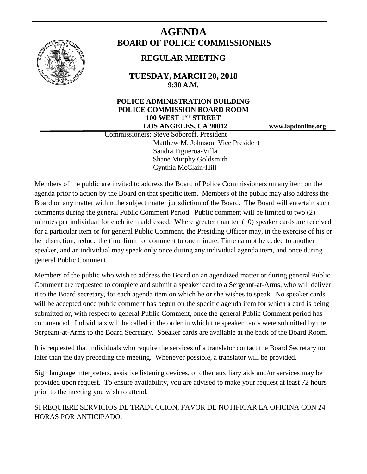

# **AGENDA BOARD OF POLICE COMMISSIONERS**

## **REGULAR MEETING**

**TUESDAY, MARCH 20, 2018 9:30 A.M.**

### **POLICE ADMINISTRATION BUILDING POLICE COMMISSION BOARD ROOM 100 WEST 1ST STREET LOS ANGELES, CA 90012 www.lapdonline.org**

 Commissioners: Steve Soboroff, President Matthew M. Johnson, Vice President Sandra Figueroa-Villa Shane Murphy Goldsmith Cynthia McClain-Hill

Members of the public are invited to address the Board of Police Commissioners on any item on the agenda prior to action by the Board on that specific item. Members of the public may also address the Board on any matter within the subject matter jurisdiction of the Board. The Board will entertain such comments during the general Public Comment Period. Public comment will be limited to two (2) minutes per individual for each item addressed. Where greater than ten (10) speaker cards are received for a particular item or for general Public Comment, the Presiding Officer may, in the exercise of his or her discretion, reduce the time limit for comment to one minute. Time cannot be ceded to another speaker, and an individual may speak only once during any individual agenda item, and once during general Public Comment.

Members of the public who wish to address the Board on an agendized matter or during general Public Comment are requested to complete and submit a speaker card to a Sergeant-at-Arms, who will deliver it to the Board secretary, for each agenda item on which he or she wishes to speak. No speaker cards will be accepted once public comment has begun on the specific agenda item for which a card is being submitted or, with respect to general Public Comment, once the general Public Comment period has commenced. Individuals will be called in the order in which the speaker cards were submitted by the Sergeant-at-Arms to the Board Secretary. Speaker cards are available at the back of the Board Room.

It is requested that individuals who require the services of a translator contact the Board Secretary no later than the day preceding the meeting. Whenever possible, a translator will be provided.

Sign language interpreters, assistive listening devices, or other auxiliary aids and/or services may be provided upon request. To ensure availability, you are advised to make your request at least 72 hours prior to the meeting you wish to attend.

SI REQUIERE SERVICIOS DE TRADUCCION, FAVOR DE NOTIFICAR LA OFICINA CON 24 HORAS POR ANTICIPADO.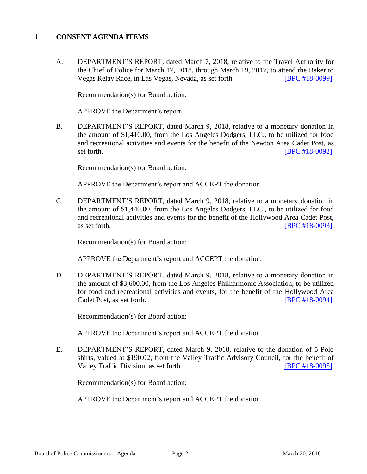#### 1. **CONSENT AGENDA ITEMS**

A. DEPARTMENT'S REPORT, dated March 7, 2018, relative to the Travel Authority for the Chief of Police for March 17, 2018, through March 19, 2017, to attend the Baker to Vegas Relay Race, in Las Vegas, Nevada, as set forth. [\[BPC #18-0099\]](http://www.lapdpolicecom.lacity.org/032018/BPC_18-0099.pdf)

Recommendation(s) for Board action:

APPROVE the Department's report.

B. DEPARTMENT'S REPORT, dated March 9, 2018, relative to a monetary donation in the amount of \$1,410.00, from the Los Angeles Dodgers, LLC., to be utilized for food and recreational activities and events for the benefit of the Newton Area Cadet Post, as set forth. **[\[BPC #18-0092\]](http://www.lapdpolicecom.lacity.org/032018/BPC_18-0092.pdf)** 

Recommendation(s) for Board action:

APPROVE the Department's report and ACCEPT the donation.

C. DEPARTMENT'S REPORT, dated March 9, 2018, relative to a monetary donation in the amount of \$1,440.00, from the Los Angeles Dodgers, LLC., to be utilized for food and recreational activities and events for the benefit of the Hollywood Area Cadet Post, as set forth. [\[BPC #18-0093\]](http://www.lapdpolicecom.lacity.org/032018/BPC_18-0093.pdf)

Recommendation(s) for Board action:

APPROVE the Department's report and ACCEPT the donation.

D. DEPARTMENT'S REPORT, dated March 9, 2018, relative to a monetary donation in the amount of \$3,600.00, from the Los Angeles Philharmonic Association, to be utilized for food and recreational activities and events, for the benefit of the Hollywood Area Cadet Post, as set forth. **IDPC #18-0094]** 

Recommendation(s) for Board action:

APPROVE the Department's report and ACCEPT the donation.

E. DEPARTMENT'S REPORT, dated March 9, 2018, relative to the donation of 5 Polo shirts, valued at \$190.02, from the Valley Traffic Advisory Council, for the benefit of Valley Traffic Division, as set forth. [\[BPC #18-0095\]](http://www.lapdpolicecom.lacity.org/032018/BPC_18-0095.pdf)

Recommendation(s) for Board action:

APPROVE the Department's report and ACCEPT the donation.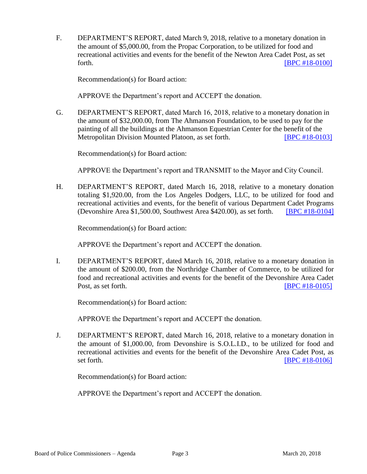F. DEPARTMENT'S REPORT, dated March 9, 2018, relative to a monetary donation in the amount of \$5,000.00, from the Propac Corporation, to be utilized for food and recreational activities and events for the benefit of the Newton Area Cadet Post, as set forth. **EXECUTE: EXECUTE: EXECUTE: EXECUTE: EXECUTE: EXECUTE: EXECUTE: EXECUTE: EXECUTE: EXECUTE: EXECUTE: EXECUTE: EXECUTE: EXECUTE: EXECUTE: EXECUTE: EXECUTE: EXECUTE: EXECUTE: EXECU** 

Recommendation(s) for Board action:

APPROVE the Department's report and ACCEPT the donation.

G. DEPARTMENT'S REPORT, dated March 16, 2018, relative to a monetary donation in the amount of \$32,000.00, from The Ahmanson Foundation, to be used to pay for the painting of all the buildings at the Ahmanson Equestrian Center for the benefit of the Metropolitan Division Mounted Platoon, as set forth. [\[BPC #18-0103\]](http://www.lapdpolicecom.lacity.org/032018/BPC_18-0103.pdf)

Recommendation(s) for Board action:

APPROVE the Department's report and TRANSMIT to the Mayor and City Council.

H. DEPARTMENT'S REPORT, dated March 16, 2018, relative to a monetary donation totaling \$1,920.00, from the Los Angeles Dodgers, LLC, to be utilized for food and recreational activities and events, for the benefit of various Department Cadet Programs (Devonshire Area \$1,500.00, Southwest Area \$420.00), as set forth. [\[BPC #18-0104\]](http://www.lapdpolicecom.lacity.org/032018/BPC_18-0104.pdf)

Recommendation(s) for Board action:

APPROVE the Department's report and ACCEPT the donation.

I. DEPARTMENT'S REPORT, dated March 16, 2018, relative to a monetary donation in the amount of \$200.00, from the Northridge Chamber of Commerce, to be utilized for food and recreational activities and events for the benefit of the Devonshire Area Cadet Post, as set forth. **IDPC #18-0105** 

Recommendation(s) for Board action:

APPROVE the Department's report and ACCEPT the donation.

J. DEPARTMENT'S REPORT, dated March 16, 2018, relative to a monetary donation in the amount of \$1,000.00, from Devonshire is S.O.L.I.D., to be utilized for food and recreational activities and events for the benefit of the Devonshire Area Cadet Post, as set forth. **IBPC #18-0106** 

Recommendation(s) for Board action:

APPROVE the Department's report and ACCEPT the donation.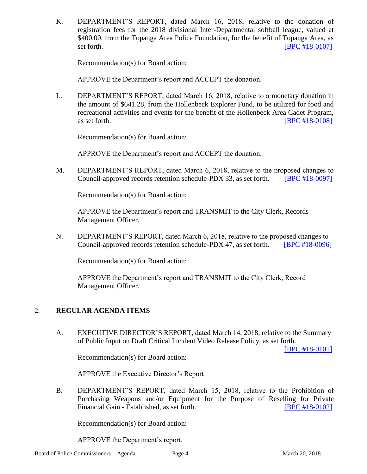K. DEPARTMENT'S REPORT, dated March 16, 2018, relative to the donation of registration fees for the 2018 divisional Inter-Departmental softball league, valued at \$400.00, from the Topanga Area Police Foundation, for the benefit of Topanga Area, as set forth. **IBPC #18-01071** 

Recommendation(s) for Board action:

APPROVE the Department's report and ACCEPT the donation.

L. DEPARTMENT'S REPORT, dated March 16, 2018, relative to a monetary donation in the amount of \$641.28, from the Hollenbeck Explorer Fund, to be utilized for food and recreational activities and events for the benefit of the Hollenbeck Area Cadet Program, as set forth. **IBPC** #18-0108]

Recommendation(s) for Board action:

APPROVE the Department's report and ACCEPT the donation.

M. DEPARTMENT'S REPORT, dated March 6, 2018, relative to the proposed changes to Council-approved records retention schedule-PDX 33, as set forth. [\[BPC #18-0097\]](http://www.lapdpolicecom.lacity.org/032018/BPC_18-0097.pdf)

Recommendation(s) for Board action:

APPROVE the Department's report and TRANSMIT to the City Clerk, Records Management Officer.

N. DEPARTMENT'S REPORT, dated March 6, 2018, relative to the proposed changes to Council-approved records retention schedule-PDX 47, as set forth. [\[BPC #18-0096\]](http://www.lapdpolicecom.lacity.org/032018/BPC_18-0096.pdf)

Recommendation(s) for Board action:

APPROVE the Department's report and TRANSMIT to the City Clerk, Record Management Officer.

#### 2. **REGULAR AGENDA ITEMS**

A. EXECUTIVE DIRECTOR'S REPORT, dated March 14, 2018, relative to the Summary of Public Input on Draft Critical Incident Video Release Policy, as set forth.

[\[BPC #18-0101\]](http://www.lapdpolicecom.lacity.org/032018/BPC_18-0101.pdf)

Recommendation(s) for Board action:

APPROVE the Executive Director's Report

B. DEPARTMENT'S REPORT, dated March 15, 2018, relative to the Prohibition of Purchasing Weapons and/or Equipment for the Purpose of Reselling for Private Financial Gain - Established, as set forth. [\[BPC #18-0102\]](http://www.lapdpolicecom.lacity.org/032018/BPC_18-0102.pdf)

Recommendation(s) for Board action:

APPROVE the Department's report.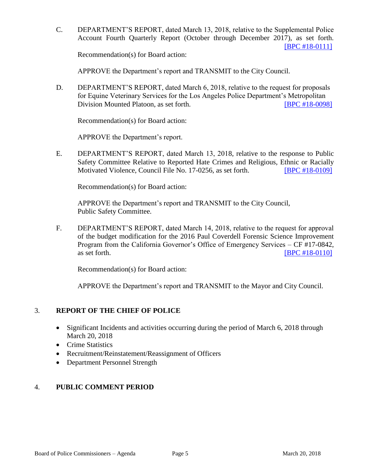C. DEPARTMENT'S REPORT, dated March 13, 2018, relative to the Supplemental Police Account Fourth Quarterly Report (October through December 2017), as set forth. [\[BPC #18-0111\]](http://www.lapdpolicecom.lacity.org/032018/BPC_18-0111.pdf)

Recommendation(s) for Board action:

APPROVE the Department's report and TRANSMIT to the City Council.

D. DEPARTMENT'S REPORT, dated March 6, 2018, relative to the request for proposals for Equine Veterinary Services for the Los Angeles Police Department's Metropolitan Division Mounted Platoon, as set forth. **[\[BPC #18-0098\]](http://www.lapdpolicecom.lacity.org/032018/BPC_18-0098.pdf)** 

Recommendation(s) for Board action:

APPROVE the Department's report.

E. DEPARTMENT'S REPORT, dated March 13, 2018, relative to the response to Public Safety Committee Relative to Reported Hate Crimes and Religious, Ethnic or Racially Motivated Violence, Council File No. 17-0256, as set forth. **[\[BPC #18-0109\]](http://www.lapdpolicecom.lacity.org/032018/BPC_18-0109.pdf)** 

Recommendation(s) for Board action:

APPROVE the Department's report and TRANSMIT to the City Council, Public Safety Committee.

F. DEPARTMENT'S REPORT, dated March 14, 2018, relative to the request for approval of the budget modification for the 2016 Paul Coverdell Forensic Science Improvement Program from the California Governor's Office of Emergency Services – CF #17-0842, as set forth. **IBPC #18-0110** 

Recommendation(s) for Board action:

APPROVE the Department's report and TRANSMIT to the Mayor and City Council.

#### 3. **REPORT OF THE CHIEF OF POLICE**

- Significant Incidents and activities occurring during the period of March 6, 2018 through March 20, 2018
- Crime Statistics
- Recruitment/Reinstatement/Reassignment of Officers
- Department Personnel Strength

#### 4. **PUBLIC COMMENT PERIOD**